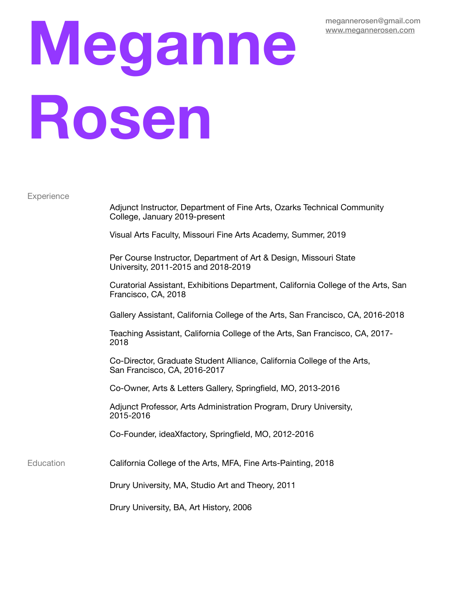## **Meganne Rosen**

**Experience** 

 Adjunct Instructor, Department of Fine Arts, Ozarks Technical Community College, January 2019-present

 Visual Arts Faculty, Missouri Fine Arts Academy, Summer, 2019

 Per Course Instructor, Department of Art & Design, Missouri State University, 2011-2015 and 2018-2019

 Curatorial Assistant, Exhibitions Department, California College of the Arts, San Francisco, CA, 2018

 Gallery Assistant, California College of the Arts, San Francisco, CA, 2016-2018

 Teaching Assistant, California College of the Arts, San Francisco, CA, 2017- 2018

 Co-Director, Graduate Student Alliance, California College of the Arts, San Francisco, CA, 2016-2017

 Co-Owner, Arts & Letters Gallery, Springfield, MO, 2013-2016

 Adjunct Professor, Arts Administration Program, Drury University, 2015-2016

 Co-Founder, ideaXfactory, Springfield, MO, 2012-2016

Education **California College of the Arts, MFA, Fine Arts-Painting, 2018** 

 Drury University, MA, Studio Art and Theory, 2011

 Drury University, BA, Art History, 2006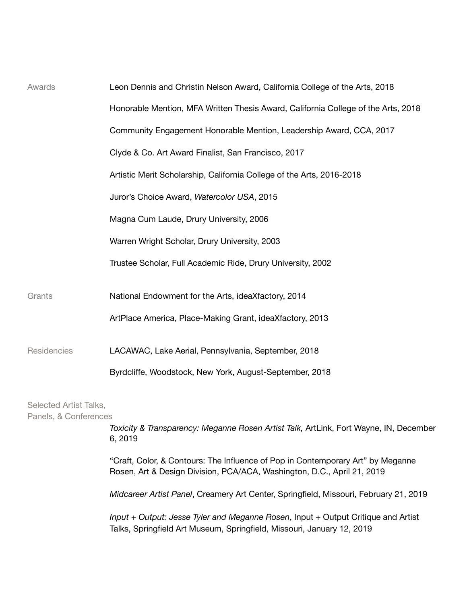| Awards                                          | Leon Dennis and Christin Nelson Award, California College of the Arts, 2018                                                                                 |
|-------------------------------------------------|-------------------------------------------------------------------------------------------------------------------------------------------------------------|
|                                                 | Honorable Mention, MFA Written Thesis Award, California College of the Arts, 2018                                                                           |
|                                                 | Community Engagement Honorable Mention, Leadership Award, CCA, 2017                                                                                         |
|                                                 | Clyde & Co. Art Award Finalist, San Francisco, 2017                                                                                                         |
|                                                 | Artistic Merit Scholarship, California College of the Arts, 2016-2018                                                                                       |
|                                                 | Juror's Choice Award, Watercolor USA, 2015                                                                                                                  |
|                                                 | Magna Cum Laude, Drury University, 2006                                                                                                                     |
|                                                 | Warren Wright Scholar, Drury University, 2003                                                                                                               |
|                                                 | Trustee Scholar, Full Academic Ride, Drury University, 2002                                                                                                 |
| Grants                                          | National Endowment for the Arts, ideaXfactory, 2014                                                                                                         |
|                                                 | ArtPlace America, Place-Making Grant, ideaXfactory, 2013                                                                                                    |
| Residencies                                     | LACAWAC, Lake Aerial, Pennsylvania, September, 2018                                                                                                         |
|                                                 | Byrdcliffe, Woodstock, New York, August-September, 2018                                                                                                     |
| Selected Artist Talks,<br>Panels, & Conferences |                                                                                                                                                             |
|                                                 | Toxicity & Transparency: Meganne Rosen Artist Talk, ArtLink, Fort Wayne, IN, December<br>6, 2019                                                            |
|                                                 | "Craft, Color, & Contours: The Influence of Pop in Contemporary Art" by Meganne<br>Rosen, Art & Design Division, PCA/ACA, Washington, D.C., April 21, 2019  |
|                                                 | Midcareer Artist Panel, Creamery Art Center, Springfield, Missouri, February 21, 2019                                                                       |
|                                                 | Input + Output: Jesse Tyler and Meganne Rosen, Input + Output Critique and Artist<br>Talks, Springfield Art Museum, Springfield, Missouri, January 12, 2019 |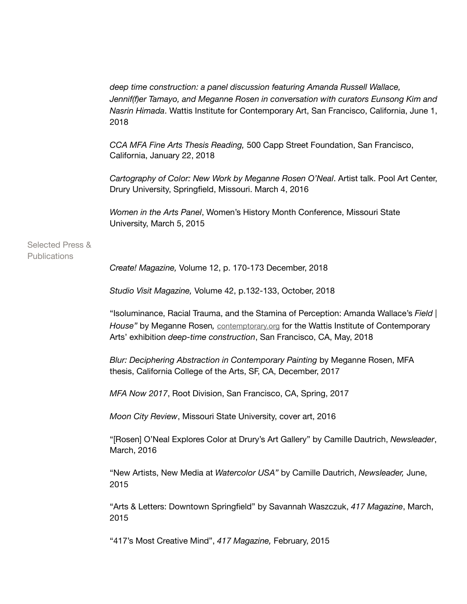|                                             | deep time construction: a panel discussion featuring Amanda Russell Wallace,<br>Jennif(f)er Tamayo, and Meganne Rosen in conversation with curators Eunsong Kim and<br>Nasrin Himada. Wattis Institute for Contemporary Art, San Francisco, California, June 1,<br>2018 |
|---------------------------------------------|-------------------------------------------------------------------------------------------------------------------------------------------------------------------------------------------------------------------------------------------------------------------------|
|                                             | CCA MFA Fine Arts Thesis Reading, 500 Capp Street Foundation, San Francisco,<br>California, January 22, 2018                                                                                                                                                            |
|                                             | Cartography of Color: New Work by Meganne Rosen O'Neal. Artist talk. Pool Art Center,<br>Drury University, Springfield, Missouri. March 4, 2016                                                                                                                         |
|                                             | Women in the Arts Panel, Women's History Month Conference, Missouri State<br>University, March 5, 2015                                                                                                                                                                  |
| <b>Selected Press &amp;</b><br>Publications |                                                                                                                                                                                                                                                                         |
|                                             | Create! Magazine, Volume 12, p. 170-173 December, 2018                                                                                                                                                                                                                  |
|                                             | Studio Visit Magazine, Volume 42, p.132-133, October, 2018                                                                                                                                                                                                              |
|                                             | "Isoluminance, Racial Trauma, and the Stamina of Perception: Amanda Wallace's Field<br>House" by Meganne Rosen, contemptorary.org for the Wattis Institute of Contemporary<br>Arts' exhibition deep-time construction, San Francisco, CA, May, 2018                     |
|                                             | Blur: Deciphering Abstraction in Contemporary Painting by Meganne Rosen, MFA<br>thesis, California College of the Arts, SF, CA, December, 2017                                                                                                                          |
|                                             | MFA Now 2017, Root Division, San Francisco, CA, Spring, 2017                                                                                                                                                                                                            |
|                                             | Moon City Review, Missouri State University, cover art, 2016                                                                                                                                                                                                            |
|                                             | "[Rosen] O'Neal Explores Color at Drury's Art Gallery" by Camille Dautrich, Newsleader,<br>March, 2016                                                                                                                                                                  |
|                                             | "New Artists, New Media at Watercolor USA" by Camille Dautrich, Newsleader, June,<br>2015                                                                                                                                                                               |
|                                             | "Arts & Letters: Downtown Springfield" by Savannah Waszczuk, 417 Magazine, March,<br>2015                                                                                                                                                                               |
|                                             | "417's Most Creative Mind", 417 Magazine, February, 2015                                                                                                                                                                                                                |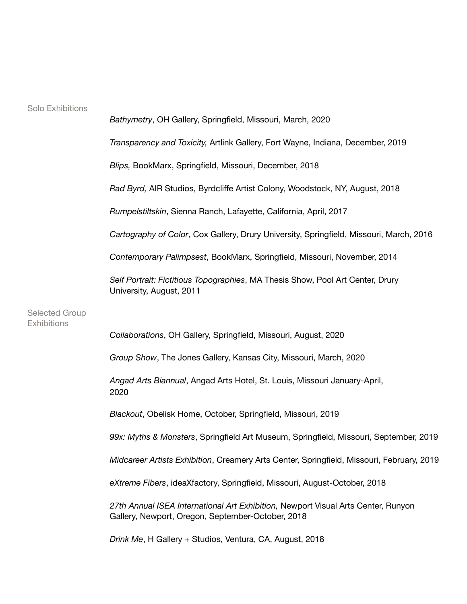Selected Group **Exhibitions** 

 *Bathymetry*, OH Gallery, Springfield, Missouri, March, 2020 *Transparency and Toxicity,* Artlink Gallery, Fort Wayne, Indiana, December, 2019 *Blips,* BookMarx, Springfield, Missouri, December, 2018 *Rad Byrd,* AIR Studios, Byrdcliffe Artist Colony, Woodstock, NY, August, 2018 *Rumpelstiltskin*, Sienna Ranch, Lafayette, California, April, 2017 *Cartography of Color*, Cox Gallery, Drury University, Springfield, Missouri, March, 2016 *Contemporary Palimpsest*, BookMarx, Springfield, Missouri, November, 2014 *Self Portrait: Fictitious Topographies*, MA Thesis Show, Pool Art Center, Drury University, August, 2011 *Collaborations*, OH Gallery, Springfield, Missouri, August, 2020 *Group Show*, The Jones Gallery, Kansas City, Missouri, March, 2020 *Angad Arts Biannual*, Angad Arts Hotel, St. Louis, Missouri January-April, 2020 *Blackout*, Obelisk Home, October, Springfield, Missouri, 2019 *99x: Myths & Monsters*, Springfield Art Museum, Springfield, Missouri, September, 2019

 *Midcareer Artists Exhibition*, Creamery Arts Center, Springfield, Missouri, February, 2019

 *eXtreme Fibers*, ideaXfactory, Springfield, Missouri, August-October, 2018

 *27th Annual ISEA International Art Exhibition,* Newport Visual Arts Center, Runyon Gallery, Newport, Oregon, September-October, 2018

 *Drink Me*, H Gallery + Studios, Ventura, CA, August, 2018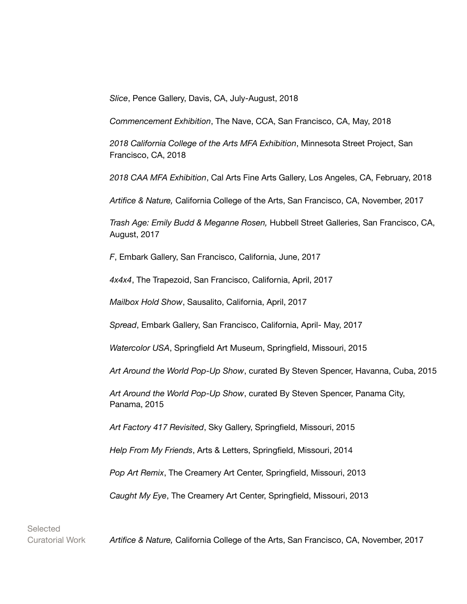*Slice*, Pence Gallery, Davis, CA, July-August, 2018

 *Commencement Exhibition*, The Nave, CCA, San Francisco, CA, May, 2018

 *2018 California College of the Arts MFA Exhibition*, Minnesota Street Project, San Francisco, CA, 2018

 *2018 CAA MFA Exhibition*, Cal Arts Fine Arts Gallery, Los Angeles, CA, February, 2018

 *Artifice & Nature,* California College of the Arts, San Francisco, CA, November, 2017

 *Trash Age: Emily Budd & Meganne Rosen,* Hubbell Street Galleries, San Francisco, CA, August, 2017

 *F*, Embark Gallery, San Francisco, California, June, 2017

 *4x4x4*, The Trapezoid, San Francisco, California, April, 2017

 *Mailbox Hold Show*, Sausalito, California, April, 2017

 *Spread*, Embark Gallery, San Francisco, California, April- May, 2017

 *Watercolor USA*, Springfield Art Museum, Springfield, Missouri, 2015

 *Art Around the World Pop-Up Show*, curated By Steven Spencer, Havanna, Cuba, 2015

 *Art Around the World Pop-Up Show*, curated By Steven Spencer, Panama City, Panama, 2015

 *Art Factory 417 Revisited*, Sky Gallery, Springfield, Missouri, 2015

 *Help From My Friends*, Arts & Letters, Springfield, Missouri, 2014

 *Pop Art Remix*, The Creamery Art Center, Springfield, Missouri, 2013

 *Caught My Eye*, The Creamery Art Center, Springfield, Missouri, 2013

**Selected** 

Curatorial Work *Artifice & Nature,* California College of the Arts, San Francisco, CA, November, 2017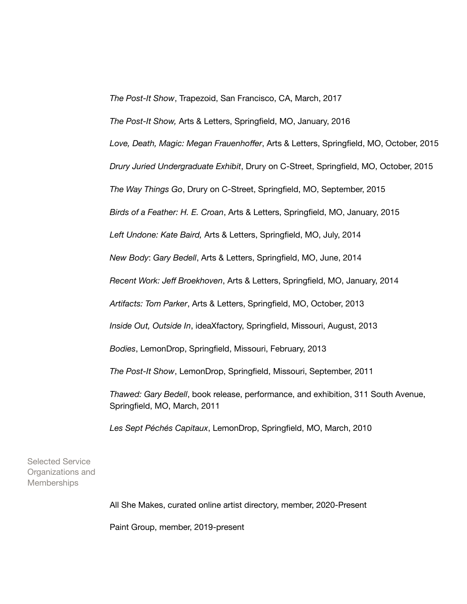*The Post-It Show*, Trapezoid, San Francisco, CA, March, 2017

 *The Post-It Show,* Arts & Letters, Springfield, MO, January, 2016

 *Love, Death, Magic: Megan Frauenhoffer*, Arts & Letters, Springfield, MO, October, 2015

 *Drury Juried Undergraduate Exhibit*, Drury on C-Street, Springfield, MO, October, 2015

 *The Way Things Go*, Drury on C-Street, Springfield, MO, September, 2015

 *Birds of a Feather: H. E. Croan*, Arts & Letters, Springfield, MO, January, 2015

 *Left Undone: Kate Baird,* Arts & Letters, Springfield, MO, July, 2014

 *New Body*: *Gary Bedell*, Arts & Letters, Springfield, MO, June, 2014

 *Recent Work: Jeff Broekhoven*, Arts & Letters, Springfield, MO, January, 2014

 *Artifacts: Tom Parker*, Arts & Letters, Springfield, MO, October, 2013

 *Inside Out, Outside In*, ideaXfactory, Springfield, Missouri, August, 2013

 *Bodies*, LemonDrop, Springfield, Missouri, February, 2013

 *The Post-It Show*, LemonDrop, Springfield, Missouri, September, 2011

 *Thawed: Gary Bedell*, book release, performance, and exhibition, 311 South Avenue, Springfield, MO, March, 2011

 *Les Sept Péchés Capitaux*, LemonDrop, Springfield, MO, March, 2010

Selected Service Organizations and **Memberships** 

 All She Makes, curated online artist directory, member, 2020-Present

 Paint Group, member, 2019-present